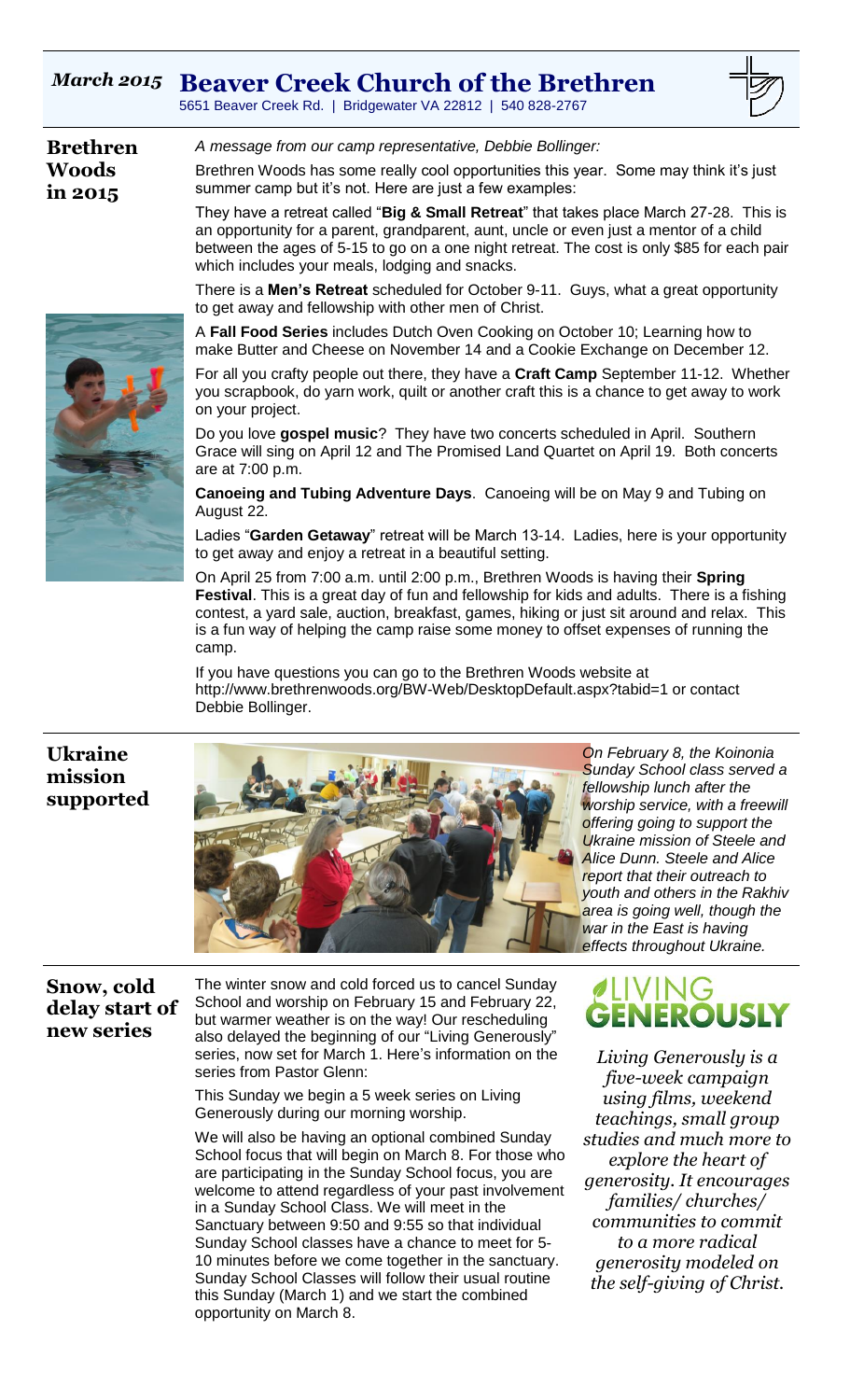# *March 2015* **Beaver Creek Church of the Brethren**

5651 Beaver Creek Rd. | Bridgewater VA 22812 | 540 828-2767

| <b>Brethren</b>         | A message from our camp representative, Debbie Bollinger:                                                                                                                                                                                                                      |
|-------------------------|--------------------------------------------------------------------------------------------------------------------------------------------------------------------------------------------------------------------------------------------------------------------------------|
| <b>Woods</b><br>in 2015 | Brethren Woods has some really cool opportunities this year. Some may think it's just<br>summer camp but it's not. Here are just a few examples:                                                                                                                               |
|                         | They have a retreat called "Big & Small Retreat" that takes place March 27-28. This is<br>an opportunity for a parent, grandparent, aunt, uncle or even just a mentor of a child<br>between the ages of 5-15 to go on a one night retreat. The cost is only \$85 for each pair |

which includes your meals, lodging and snacks. There is a **Men's Retreat** scheduled for October 9-11. Guys, what a great opportunity to get away and fellowship with other men of Christ.

A **Fall Food Series** includes Dutch Oven Cooking on October 10; Learning how to make Butter and Cheese on November 14 and a Cookie Exchange on December 12.

For all you crafty people out there, they have a **Craft Camp** September 11-12. Whether you scrapbook, do yarn work, quilt or another craft this is a chance to get away to work on your project.

Do you love **gospel music**? They have two concerts scheduled in April. Southern Grace will sing on April 12 and The Promised Land Quartet on April 19. Both concerts are at 7:00 p.m.

**Canoeing and Tubing Adventure Days**. Canoeing will be on May 9 and Tubing on August 22.

Ladies "**Garden Getaway**" retreat will be March 13-14. Ladies, here is your opportunity to get away and enjoy a retreat in a beautiful setting.

On April 25 from 7:00 a.m. until 2:00 p.m., Brethren Woods is having their **Spring Festival**. This is a great day of fun and fellowship for kids and adults. There is a fishing contest, a yard sale, auction, breakfast, games, hiking or just sit around and relax. This is a fun way of helping the camp raise some money to offset expenses of running the camp.

If you have questions you can go to the Brethren Woods website at http://www.brethrenwoods.org/BW-Web/DesktopDefault.aspx?tabid=1 or contact Debbie Bollinger.

## **Ukraine mission supported**



*On February 8, the Koinonia Sunday School class served a fellowship lunch after the worship service, with a freewill offering going to support the Ukraine mission of Steele and Alice Dunn. Steele and Alice report that their outreach to youth and others in the Rakhiv area is going well, though the war in the East is having effects throughout Ukraine.*

#### **Snow, cold delay start of new series**

The winter snow and cold forced us to cancel Sunday School and worship on February 15 and February 22, but warmer weather is on the way! Our rescheduling also delayed the beginning of our "Living Generously" series, now set for March 1. Here's information on the series from Pastor Glenn:

This Sunday we begin a 5 week series on Living Generously during our morning worship.

We will also be having an optional combined Sunday School focus that will begin on March 8. For those who are participating in the Sunday School focus, you are welcome to attend regardless of your past involvement in a Sunday School Class. We will meet in the Sanctuary between 9:50 and 9:55 so that individual Sunday School classes have a chance to meet for 5- 10 minutes before we come together in the sanctuary. Sunday School Classes will follow their usual routine this Sunday (March 1) and we start the combined opportunity on March 8.

# *ALIVING*<br>**Generously**

*Living Generously is a five-week campaign using films, weekend teachings, small group studies and much more to explore the heart of generosity. It encourages families/ churches/ communities to commit to a more radical generosity modeled on the self-giving of Christ.*

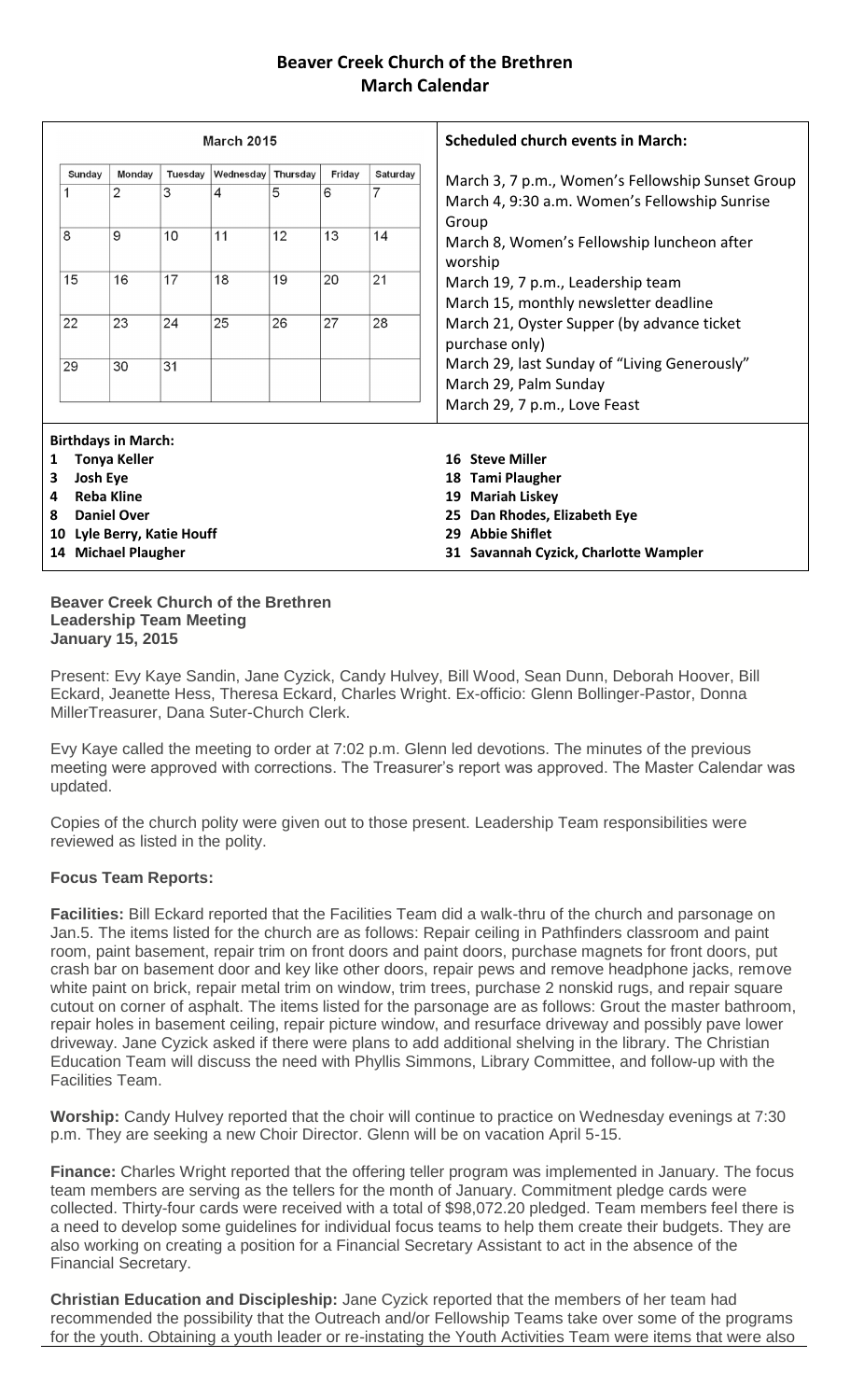#### **Beaver Creek Church of the Brethren March Calendar**

| <b>March 2015</b>                                        |                            |                |         |           |          |        | <b>Scheduled church events in March:</b>                      |                                                                            |  |  |
|----------------------------------------------------------|----------------------------|----------------|---------|-----------|----------|--------|---------------------------------------------------------------|----------------------------------------------------------------------------|--|--|
|                                                          | Sunday                     | Monday         | Tuesday | Wednesday | Thursday | Friday | Saturday                                                      | March 3, 7 p.m., Women's Fellowship Sunset Group                           |  |  |
|                                                          |                            | $\overline{2}$ | 3       | 4         | 5        | 6      | 7                                                             | March 4, 9:30 a.m. Women's Fellowship Sunrise<br>Group                     |  |  |
| 8                                                        |                            | 9              | 10      | 11        | 12       | 13     | 14                                                            | March 8, Women's Fellowship luncheon after<br>worship                      |  |  |
| 15                                                       |                            | 16             | 17      | 18        | 19       | 20     | 21                                                            | March 19, 7 p.m., Leadership team<br>March 15, monthly newsletter deadline |  |  |
| 22                                                       |                            | 23             | 24      | 25        | 26       | 27     | 28                                                            | March 21, Oyster Supper (by advance ticket<br>purchase only)               |  |  |
| 29                                                       |                            | 30             | 31      |           |          |        |                                                               | March 29, last Sunday of "Living Generously"<br>March 29, Palm Sunday      |  |  |
|                                                          |                            |                |         |           |          |        |                                                               | March 29, 7 p.m., Love Feast                                               |  |  |
|                                                          | <b>Birthdays in March:</b> |                |         |           |          |        |                                                               |                                                                            |  |  |
| 1                                                        | <b>Tonya Keller</b>        |                |         |           |          |        |                                                               | 16 Steve Miller                                                            |  |  |
|                                                          | <b>Josh Eye</b><br>3       |                |         |           |          |        |                                                               | <b>Tami Plaugher</b><br>18                                                 |  |  |
| <b>Reba Kline</b><br>4                                   |                            |                |         |           |          |        | <b>Mariah Liskey</b><br>19                                    |                                                                            |  |  |
| <b>Daniel Over</b><br>8<br>Lyle Berry, Katie Houff<br>10 |                            |                |         |           |          |        | Dan Rhodes, Elizabeth Eye<br>25<br><b>Abbie Shiflet</b><br>29 |                                                                            |  |  |
| 14 Michael Plaugher                                      |                            |                |         |           |          |        | 31 Savannah Cyzick, Charlotte Wampler                         |                                                                            |  |  |
|                                                          |                            |                |         |           |          |        |                                                               |                                                                            |  |  |

#### **Beaver Creek Church of the Brethren Leadership Team Meeting January 15, 2015**

Present: Evy Kaye Sandin, Jane Cyzick, Candy Hulvey, Bill Wood, Sean Dunn, Deborah Hoover, Bill Eckard, Jeanette Hess, Theresa Eckard, Charles Wright. Ex-officio: Glenn Bollinger-Pastor, Donna MillerTreasurer, Dana Suter-Church Clerk.

Evy Kaye called the meeting to order at 7:02 p.m. Glenn led devotions. The minutes of the previous meeting were approved with corrections. The Treasurer's report was approved. The Master Calendar was updated.

Copies of the church polity were given out to those present. Leadership Team responsibilities were reviewed as listed in the polity.

#### **Focus Team Reports:**

**Facilities:** Bill Eckard reported that the Facilities Team did a walk-thru of the church and parsonage on Jan.5. The items listed for the church are as follows: Repair ceiling in Pathfinders classroom and paint room, paint basement, repair trim on front doors and paint doors, purchase magnets for front doors, put crash bar on basement door and key like other doors, repair pews and remove headphone jacks, remove white paint on brick, repair metal trim on window, trim trees, purchase 2 nonskid rugs, and repair square cutout on corner of asphalt. The items listed for the parsonage are as follows: Grout the master bathroom, repair holes in basement ceiling, repair picture window, and resurface driveway and possibly pave lower driveway. Jane Cyzick asked if there were plans to add additional shelving in the library. The Christian Education Team will discuss the need with Phyllis Simmons, Library Committee, and follow-up with the Facilities Team.

**Worship:** Candy Hulvey reported that the choir will continue to practice on Wednesday evenings at 7:30 p.m. They are seeking a new Choir Director. Glenn will be on vacation April 5-15.

**Finance:** Charles Wright reported that the offering teller program was implemented in January. The focus team members are serving as the tellers for the month of January. Commitment pledge cards were collected. Thirty-four cards were received with a total of \$98,072.20 pledged. Team members feel there is a need to develop some guidelines for individual focus teams to help them create their budgets. They are also working on creating a position for a Financial Secretary Assistant to act in the absence of the Financial Secretary.

**Christian Education and Discipleship:** Jane Cyzick reported that the members of her team had recommended the possibility that the Outreach and/or Fellowship Teams take over some of the programs for the youth. Obtaining a youth leader or re-instating the Youth Activities Team were items that were also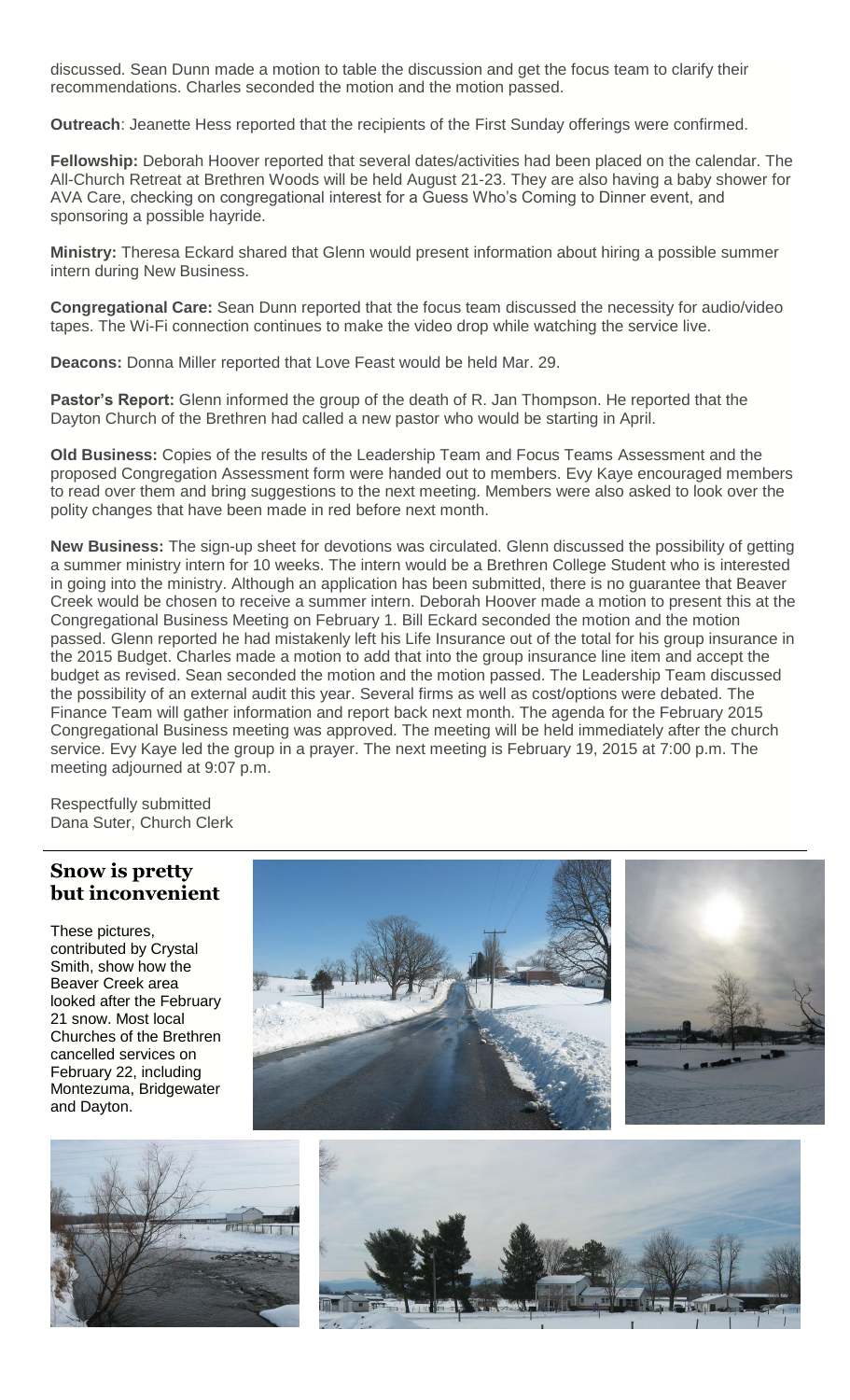discussed. Sean Dunn made a motion to table the discussion and get the focus team to clarify their recommendations. Charles seconded the motion and the motion passed.

**Outreach**: Jeanette Hess reported that the recipients of the First Sunday offerings were confirmed.

**Fellowship:** Deborah Hoover reported that several dates/activities had been placed on the calendar. The All-Church Retreat at Brethren Woods will be held August 21-23. They are also having a baby shower for AVA Care, checking on congregational interest for a Guess Who's Coming to Dinner event, and sponsoring a possible hayride.

**Ministry:** Theresa Eckard shared that Glenn would present information about hiring a possible summer intern during New Business.

**Congregational Care:** Sean Dunn reported that the focus team discussed the necessity for audio/video tapes. The Wi-Fi connection continues to make the video drop while watching the service live.

**Deacons:** Donna Miller reported that Love Feast would be held Mar. 29.

**Pastor's Report:** Glenn informed the group of the death of R. Jan Thompson. He reported that the Dayton Church of the Brethren had called a new pastor who would be starting in April.

**Old Business:** Copies of the results of the Leadership Team and Focus Teams Assessment and the proposed Congregation Assessment form were handed out to members. Evy Kaye encouraged members to read over them and bring suggestions to the next meeting. Members were also asked to look over the polity changes that have been made in red before next month.

**New Business:** The sign-up sheet for devotions was circulated. Glenn discussed the possibility of getting a summer ministry intern for 10 weeks. The intern would be a Brethren College Student who is interested in going into the ministry. Although an application has been submitted, there is no guarantee that Beaver Creek would be chosen to receive a summer intern. Deborah Hoover made a motion to present this at the Congregational Business Meeting on February 1. Bill Eckard seconded the motion and the motion passed. Glenn reported he had mistakenly left his Life Insurance out of the total for his group insurance in the 2015 Budget. Charles made a motion to add that into the group insurance line item and accept the budget as revised. Sean seconded the motion and the motion passed. The Leadership Team discussed the possibility of an external audit this year. Several firms as well as cost/options were debated. The Finance Team will gather information and report back next month. The agenda for the February 2015 Congregational Business meeting was approved. The meeting will be held immediately after the church service. Evy Kaye led the group in a prayer. The next meeting is February 19, 2015 at 7:00 p.m. The meeting adjourned at 9:07 p.m.

Respectfully submitted Dana Suter, Church Clerk

### **Snow is pretty but inconvenient**

These pictures, contributed by Crystal Smith, show how the Beaver Creek area looked after the February 21 snow. Most local Churches of the Brethren cancelled services on February 22, including Montezuma, Bridgewater and Dayton.